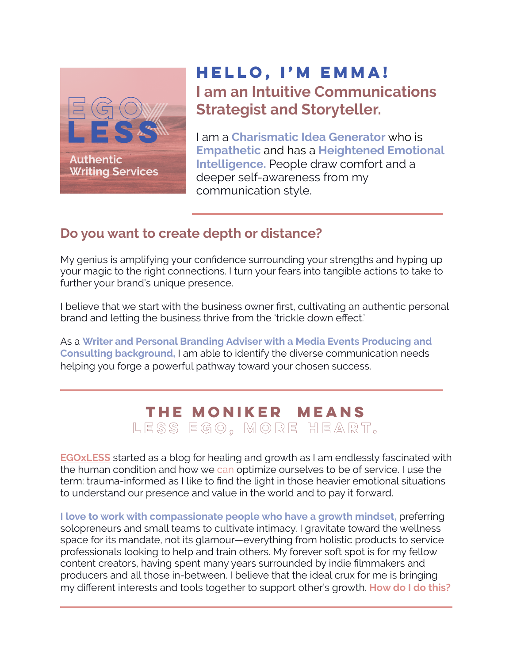

## **Hello, I'm Emma! I am an Intuitive Communications Strategist and Storyteller.**

I am a **Charismatic Idea Generator** who is **Empathetic** and has a **Heightened Emotional Intelligence.** People draw comfort and a deeper self-awareness from my communication style.

### **Do you want to create depth or distance?**

My genius is amplifying your confidence surrounding your strengths and hyping up your magic to the right connections. I turn your fears into tangible actions to take to further your brand's unique presence.

I believe that we start with the business owner first, cultivating an authentic personal brand and letting the business thrive from the 'trickle down effect.'

As a **Writer and Personal Branding Adviser with a Media Events Producing and Consulting background,** I am able to identify the diverse communication needs helping you forge a powerful pathway toward your chosen success.

## **The moniker means less ego, more heart.**

**[EGOxLESS](http://www.egoxless.com/blog)** started as a blog for healing and growth as I am endlessly fascinated with the human condition and how we can optimize ourselves to be of service. I use the term: trauma-informed as I like to find the light in those heavier emotional situations to understand our presence and value in the world and to pay it forward.

**I love to work with compassionate people who have a growth mindset,** preferring solopreneurs and small teams to cultivate intimacy. I gravitate toward the wellness space for its mandate, not its glamour—everything from holistic products to service professionals looking to help and train others. My forever soft spot is for my fellow content creators, having spent many years surrounded by indie filmmakers and producers and all those in-between. I believe that the ideal crux for me is bringing my different interests and tools together to support other's growth. **How do I do this?**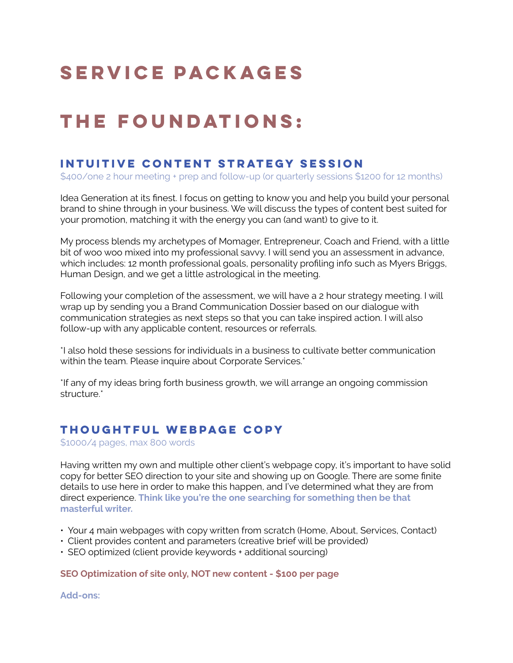# **Service Packages**

# **THe Foundations:**

### **Intuitive Content Strategy Session**

\$400/one 2 hour meeting + prep and follow-up (or quarterly sessions \$1200 for 12 months)

Idea Generation at its finest. I focus on getting to know you and help you build your personal brand to shine through in your business. We will discuss the types of content best suited for your promotion, matching it with the energy you can (and want) to give to it.

My process blends my archetypes of Momager, Entrepreneur, Coach and Friend, with a little bit of woo woo mixed into my professional savvy. I will send you an assessment in advance, which includes: 12 month professional goals, personality profiling info such as Myers Briggs, Human Design, and we get a little astrological in the meeting.

Following your completion of the assessment, we will have a 2 hour strategy meeting. I will wrap up by sending you a Brand Communication Dossier based on our dialogue with communication strategies as next steps so that you can take inspired action. I will also follow-up with any applicable content, resources or referrals.

\*I also hold these sessions for individuals in a business to cultivate better communication within the team. Please inquire about Corporate Services.\*

\*If any of my ideas bring forth business growth, we will arrange an ongoing commission structure.<sup>\*</sup>

#### **Thoughtful Webpage Copy**

\$1000/4 pages, max 800 words

Having written my own and multiple other client's webpage copy, it's important to have solid copy for better SEO direction to your site and showing up on Google. There are some finite details to use here in order to make this happen, and I've determined what they are from direct experience. **Think like you're the one searching for something then be that masterful writer.** 

- Your 4 main webpages with copy written from scratch (Home, About, Services, Contact)
- Client provides content and parameters (creative brief will be provided)
- SEO optimized (client provide keywords + additional sourcing)

#### **SEO Optimization of site only, NOT new content - \$100 per page**

**Add-ons:**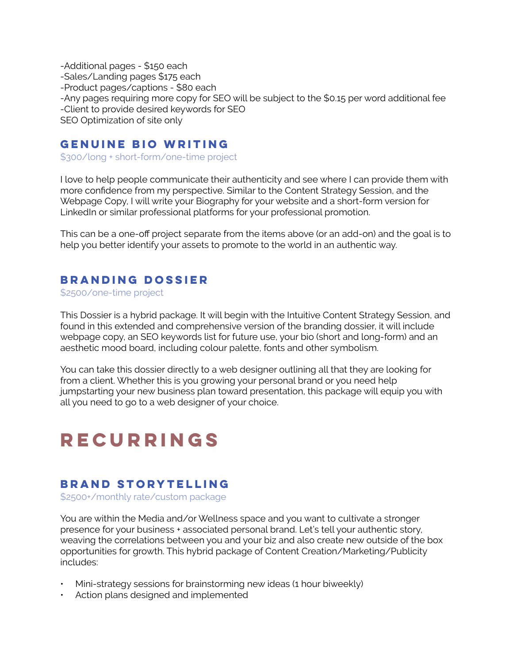-Additional pages - \$150 each -Sales/Landing pages \$175 each -Product pages/captions - \$80 each -Any pages requiring more copy for SEO will be subject to the \$0.15 per word additional fee -Client to provide desired keywords for SEO SEO Optimization of site only

#### **Genuine Bio Writing**

\$300/long + short-form/one-time project

I love to help people communicate their authenticity and see where I can provide them with more confidence from my perspective. Similar to the Content Strategy Session, and the Webpage Copy, I will write your Biography for your website and a short-form version for LinkedIn or similar professional platforms for your professional promotion.

This can be a one-off project separate from the items above (or an add-on) and the goal is to help you better identify your assets to promote to the world in an authentic way.

#### **Branding Dossier**

\$2500/one-time project

This Dossier is a hybrid package. It will begin with the Intuitive Content Strategy Session, and found in this extended and comprehensive version of the branding dossier, it will include webpage copy, an SEO keywords list for future use, your bio (short and long-form) and an aesthetic mood board, including colour palette, fonts and other symbolism.

You can take this dossier directly to a web designer outlining all that they are looking for from a client. Whether this is you growing your personal brand or you need help jumpstarting your new business plan toward presentation, this package will equip you with all you need to go to a web designer of your choice.

# **Recurrings**

#### **Brand Storytelling**

\$2500+/monthly rate/custom package

You are within the Media and/or Wellness space and you want to cultivate a stronger presence for your business + associated personal brand. Let's tell your authentic story, weaving the correlations between you and your biz and also create new outside of the box opportunities for growth. This hybrid package of Content Creation/Marketing/Publicity includes:

- Mini-strategy sessions for brainstorming new ideas (1 hour biweekly)
- Action plans designed and implemented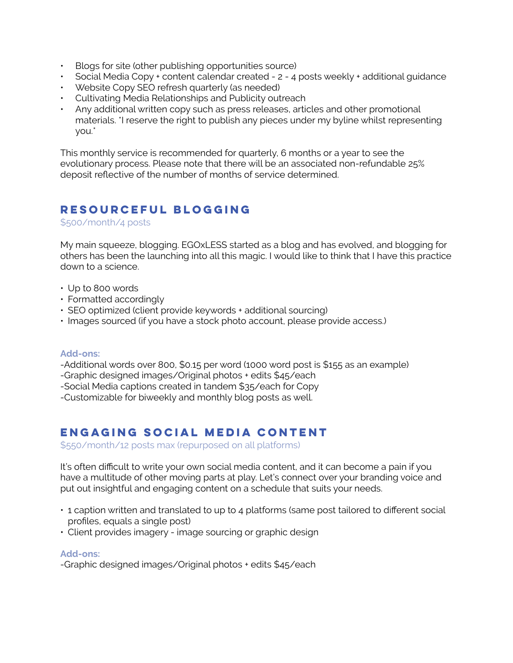- Blogs for site (other publishing opportunities source)
- Social Media Copy + content calendar created 2 4 posts weekly + additional guidance
- Website Copy SEO refresh quarterly (as needed)
- Cultivating Media Relationships and Publicity outreach
- Any additional written copy such as press releases, articles and other promotional materials. \*I reserve the right to publish any pieces under my byline whilst representing you.\*

This monthly service is recommended for quarterly, 6 months or a year to see the evolutionary process. Please note that there will be an associated non-refundable 25% deposit reflective of the number of months of service determined.

#### **Resourceful Blogging**

\$500/month/4 posts

My main squeeze, blogging. EGOxLESS started as a blog and has evolved, and blogging for others has been the launching into all this magic. I would like to think that I have this practice down to a science.

- Up to 800 words
- Formatted accordingly
- SEO optimized (client provide keywords + additional sourcing)
- Images sourced (if you have a stock photo account, please provide access.)

#### **Add-ons:**

-Additional words over 800, \$0.15 per word (1000 word post is \$155 as an example)

- -Graphic designed images/Original photos + edits \$45/each
- -Social Media captions created in tandem \$35/each for Copy

-Customizable for biweekly and monthly blog posts as well.

### **Engaging Social Media Content**

\$550/month/12 posts max (repurposed on all platforms)

It's often difficult to write your own social media content, and it can become a pain if you have a multitude of other moving parts at play. Let's connect over your branding voice and put out insightful and engaging content on a schedule that suits your needs.

- 1 caption written and translated to up to 4 platforms (same post tailored to different social profiles, equals a single post)
- Client provides imagery image sourcing or graphic design

#### **Add-ons:**

-Graphic designed images/Original photos + edits \$45/each